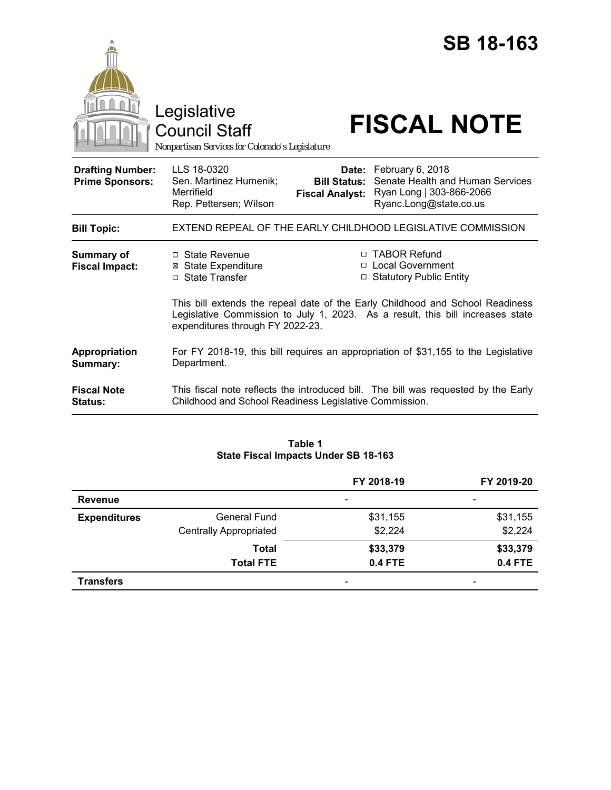|                                                   | <b>SB 18-163</b><br>Legislative<br><b>FISCAL NOTE</b><br><b>Council Staff</b><br>Nonpartisan Services for Colorado's Legislature                                                                                                                   |  |
|---------------------------------------------------|----------------------------------------------------------------------------------------------------------------------------------------------------------------------------------------------------------------------------------------------------|--|
| <b>Drafting Number:</b><br><b>Prime Sponsors:</b> | LLS 18-0320<br>Date: February 6, 2018<br>Senate Health and Human Services<br>Sen. Martinez Humenik;<br><b>Bill Status:</b><br>Merrifield<br>Ryan Long   303-866-2066<br><b>Fiscal Analyst:</b><br>Rep. Pettersen; Wilson<br>Ryanc.Long@state.co.us |  |
| <b>Bill Topic:</b>                                | EXTEND REPEAL OF THE EARLY CHILDHOOD LEGISLATIVE COMMISSION                                                                                                                                                                                        |  |
| <b>Summary of</b><br><b>Fiscal Impact:</b>        | □ TABOR Refund<br>$\Box$ State Revenue<br>□ Local Government<br><b>⊠</b> State Expenditure<br>□ State Transfer<br>□ Statutory Public Entity                                                                                                        |  |
|                                                   | This bill extends the repeal date of the Early Childhood and School Readiness<br>Legislative Commission to July 1, 2023. As a result, this bill increases state<br>expenditures through FY 2022-23.                                                |  |
| Appropriation<br>Summary:                         | For FY 2018-19, this bill requires an appropriation of \$31,155 to the Legislative<br>Department.                                                                                                                                                  |  |
| <b>Fiscal Note</b><br>Status:                     | This fiscal note reflects the introduced bill. The bill was requested by the Early<br>Childhood and School Readiness Legislative Commission.                                                                                                       |  |

# **Table 1 State Fiscal Impacts Under SB 18-163**

|                     |                               | FY 2018-19     | FY 2019-20               |
|---------------------|-------------------------------|----------------|--------------------------|
| <b>Revenue</b>      |                               |                | $\overline{\phantom{a}}$ |
| <b>Expenditures</b> | <b>General Fund</b>           | \$31,155       | \$31,155                 |
|                     | <b>Centrally Appropriated</b> | \$2,224        | \$2,224                  |
|                     | <b>Total</b>                  | \$33,379       | \$33,379                 |
|                     | <b>Total FTE</b>              | <b>0.4 FTE</b> | <b>0.4 FTE</b>           |
| <b>Transfers</b>    |                               |                | $\overline{\phantom{a}}$ |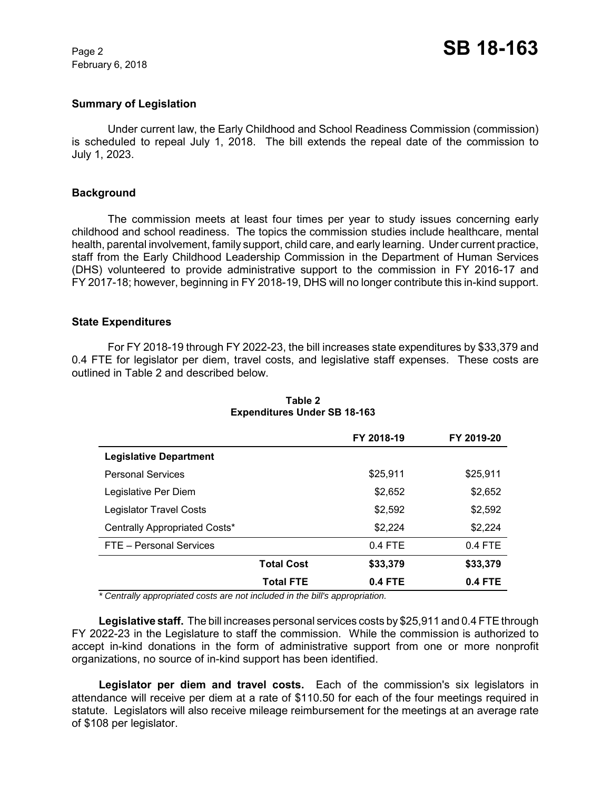February 6, 2018

### **Summary of Legislation**

Under current law, the Early Childhood and School Readiness Commission (commission) is scheduled to repeal July 1, 2018. The bill extends the repeal date of the commission to July 1, 2023.

#### **Background**

The commission meets at least four times per year to study issues concerning early childhood and school readiness. The topics the commission studies include healthcare, mental health, parental involvement, family support, child care, and early learning. Under current practice, staff from the Early Childhood Leadership Commission in the Department of Human Services (DHS) volunteered to provide administrative support to the commission in FY 2016-17 and FY 2017-18; however, beginning in FY 2018-19, DHS will no longer contribute this in-kind support.

#### **State Expenditures**

For FY 2018-19 through FY 2022-23, the bill increases state expenditures by \$33,379 and 0.4 FTE for legislator per diem, travel costs, and legislative staff expenses. These costs are outlined in Table 2 and described below.

|                                |                   | FY 2018-19 | FY 2019-20 |
|--------------------------------|-------------------|------------|------------|
| <b>Legislative Department</b>  |                   |            |            |
| <b>Personal Services</b>       |                   | \$25.911   | \$25,911   |
| Legislative Per Diem           |                   | \$2,652    | \$2,652    |
| <b>Legislator Travel Costs</b> |                   | \$2,592    | \$2,592    |
| Centrally Appropriated Costs*  |                   | \$2,224    | \$2,224    |
| FTE - Personal Services        |                   | $0.4$ FTE  | $0.4$ FTE  |
|                                | <b>Total Cost</b> | \$33,379   | \$33,379   |
|                                | <b>Total FTE</b>  | $0.4$ FTE  | 0.4 FTE    |

# **Table 2 Expenditures Under SB 18-163**

 *\* Centrally appropriated costs are not included in the bill's appropriation.*

**Legislative staff.** The bill increases personal services costs by \$25,911 and 0.4 FTE through FY 2022-23 in the Legislature to staff the commission. While the commission is authorized to accept in-kind donations in the form of administrative support from one or more nonprofit organizations, no source of in-kind support has been identified.

Legislator per diem and travel costs. Each of the commission's six legislators in attendance will receive per diem at a rate of \$110.50 for each of the four meetings required in statute. Legislators will also receive mileage reimbursement for the meetings at an average rate of \$108 per legislator.